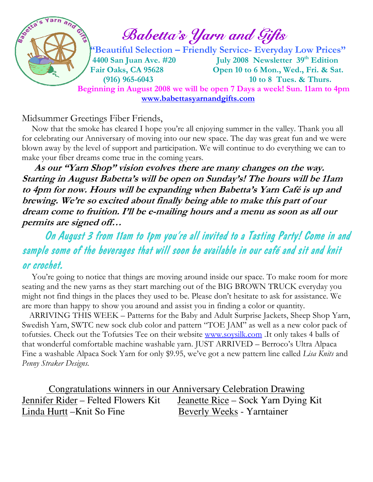

Midsummer Greetings Fiber Friends,

 Now that the smoke has cleared I hope you're all enjoying summer in the valley. Thank you all for celebrating our Anniversary of moving into our new space. The day was great fun and we were blown away by the level of support and participation. We will continue to do everything we can to make your fiber dreams come true in the coming years.

 As our "Yarn Shop" vision evolves there are many changes on the way. Starting in August Babetta's will be open on Sunday's! The hours will be 11am to 4pm for now. Hours will be expanding when Babetta's Yarn Café is up and brewing. We're so excited about finally being able to make this part of our dream come to fruition. I'll be e-mailing hours and a menu as soon as all our permits are signed off…

## On August 3 from 11am to 1pm you're all invited to a Tasting Party! Come in and sample some of the beverages that will soon be available in our café and sit and knit or crochet.

You're going to notice that things are moving around inside our space. To make room for more seating and the new yarns as they start marching out of the BIG BROWN TRUCK everyday you might not find things in the places they used to be. Please don't hesitate to ask for assistance. We are more than happy to show you around and assist you in finding a color or quantity.

 ARRIVING THIS WEEK – Patterns for the Baby and Adult Surprise Jackets, Sheep Shop Yarn, Swedish Yarn, SWTC new sock club color and pattern "TOE JAM" as well as a new color pack of tofutsies. Check out the Tofutsies Tee on their website www.soysilk.com .It only takes 4 balls of that wonderful comfortable machine washable yarn. JUST ARRIVED – Berroco's Ultra Alpaca Fine a washable Alpaca Sock Yarn for only \$9.95, we've got a new pattern line called Lisa Knits and Penny Straker Designs.

 Congratulations winners in our Anniversary Celebration Drawing Jennifer Rider – Felted Flowers Kit Jeanette Rice – Sock Yarn Dying Kit Linda Hurtt –Knit So Fine Beverly Weeks - Yarntainer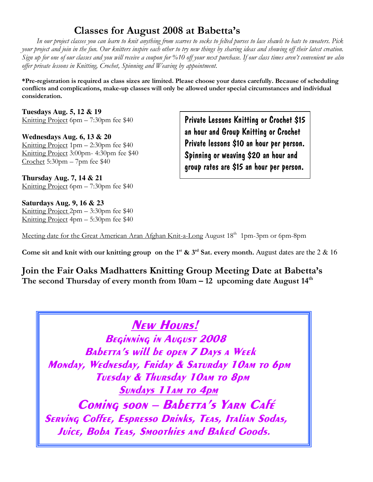## Classes for August 2008 at Babetta's

 In our project classes you can learn to knit anything from scarves to socks to felted purses to lace shawls to hats to sweaters. Pick your project and join in the fun. Our knitters inspire each other to try new things by sharing ideas and showing off their latest creation. Sign up for one of our classes and you will receive a coupon for %10 off your next purchase. If our class times aren't convenient we also offer private lessons in Knitting, Crochet, Spinning and Weaving by appointment.

\*Pre-registration is required as class sizes are limited. Please choose your dates carefully. Because of scheduling conflicts and complications, make-up classes will only be allowed under special circumstances and individual consideration.

**Tuesdays Aug. 5, 12 & 19**  Knitting Project 6pm – 7:30pm fee \$40

**Wednesdays Aug. 6, 13 & 20**  Knitting Project 1pm – 2:30pm fee \$40 Knitting Project 3:00pm- 4:30pm fee \$40 Crochet 5:30pm – 7pm fee \$40

**Thursday Aug. 7, 14 & 21**  Knitting Project 6pm – 7:30pm fee \$40

**Saturdays Aug. 9, 16 & 23**  Knitting Project 2pm – 3:30pm fee \$40 Knitting Project 4pm – 5:30pm fee \$40

Private Lessons Knitting or Crochet \$15 an hour and Group Knitting or Crochet Private lessons \$10 an hour per person. Spinning or weaving \$20 an hour and group rates are \$15 an hour per person.

Meeting date for the Great American Aran Afghan Knit-a-Long August 18<sup>th</sup> 1pm-3pm or 6pm-8pm

Come sit and knit with our knitting group on the 1<sup>st</sup>  $\&$  3<sup>rd</sup> Sat. every month. August dates are the 2  $\&$  16

Join the Fair Oaks Madhatters Knitting Group Meeting Date at Babetta's The second Thursday of every month from  $10am - 12$  upcoming date August  $14<sup>th</sup>$ 

New Hours!

BEGINNING IN AUGUST 2008 BAbetta's will be open 7 Days a Week Monday, Wednesday, Friday & Saturday 10am to 6pm Tuesday & Thursday 10am to 8pm Sundays 11am to 4pm Coming soon - Babetta's Yarn Café Serving Coffee, Espresso Drinks, Teas, Italian Sodas, Juice, Boba Teas, Smoothies and Baked Goods.